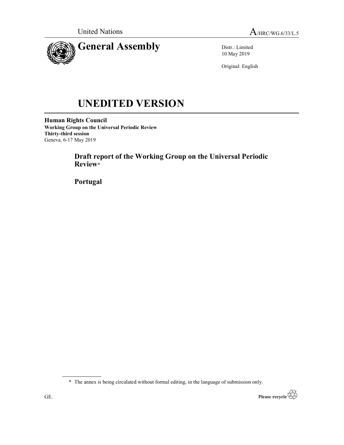

Distr.: Limited 10 May 2019

Original: English

# UNEDITED VERSION

Human Rights Council Working Group on the Universal Periodic Review Thirty-third session Geneva, 6-17 May 2019

> Draft report of the Working Group on the Universal Periodic Review\*

Portugal

\* The annex is being circulated without formal editing, in the language of submission only.

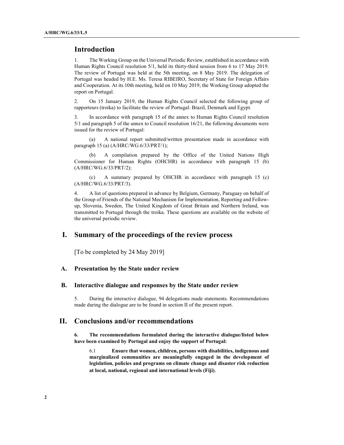## Introduction

1. The Working Group on the Universal Periodic Review, established in accordance with Human Rights Council resolution 5/1, held its thirty-third session from 6 to 17 May 2019. The review of Portugal was held at the 5th meeting, on 8 May 2019. The delegation of Portugal was headed by H.E. Ms. Teresa RIBEIRO, Secretary of State for Foreign Affairs and Cooperation. At its 10th meeting, held on 10 May 2019, the Working Group adopted the report on Portugal.

2. On 15 January 2019, the Human Rights Council selected the following group of rapporteurs (troika) to facilitate the review of Portugal: Brazil, Denmark and Egypt.

3. In accordance with paragraph 15 of the annex to Human Rights Council resolution 5/1 and paragraph 5 of the annex to Council resolution 16/21, the following documents were issued for the review of Portugal:

 (a) A national report submitted/written presentation made in accordance with paragraph 15 (a) (A/HRC/WG.6/33/PRT/1);

 (b) A compilation prepared by the Office of the United Nations High Commissioner for Human Rights (OHCHR) in accordance with paragraph 15 (b) (A/HRC/WG.6/33/PRT/2);

 (c) A summary prepared by OHCHR in accordance with paragraph 15 (c) (A/HRC/WG.6/33/PRT/3).

4. A list of questions prepared in advance by Belgium, Germany, Paraguay on behalf of the Group of Friends of the National Mechanism for Implementation, Reporting and Followup, Slovenia, Sweden, The United Kingdom of Great Britain and Northern Ireland, was transmitted to Portugal through the troika. These questions are available on the website of the universal periodic review.

# I. Summary of the proceedings of the review process

[To be completed by 24 May 2019]

### A. Presentation by the State under review

#### B. Interactive dialogue and responses by the State under review

5. During the interactive dialogue, 94 delegations made statements. Recommendations made during the dialogue are to be found in section II of the present report.

# II. Conclusions and/or recommendations

6. The recommendations formulated during the interactive dialogue/listed below have been examined by Portugal and enjoy the support of Portugal:

6.1 Ensure that women, children, persons with disabilities, indigenous and marginalized communities are meaningfully engaged in the development of legislation, policies and programs on climate change and disaster risk reduction at local, national, regional and international levels (Fiji).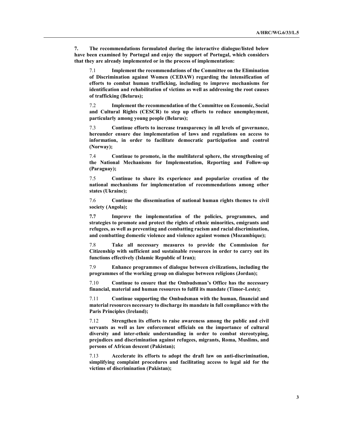7. The recommendations formulated during the interactive dialogue/listed below have been examined by Portugal and enjoy the support of Portugal, which considers that they are already implemented or in the process of implementation:

7.1 Implement the recommendations of the Committee on the Elimination of Discrimination against Women (CEDAW) regarding the intensification of efforts to combat human trafficking, including to improve mechanisms for identification and rehabilitation of victims as well as addressing the root causes of trafficking (Belarus);

7.2 Implement the recommendation of the Committee on Economic, Social and Cultural Rights (CESCR) to step up efforts to reduce unemployment, particularly among young people (Belarus);

7.3 Continue efforts to increase transparency in all levels of governance, hereunder ensure due implementation of laws and regulations on access to information, in order to facilitate democratic participation and control (Norway);

7.4 Continue to promote, in the multilateral sphere, the strengthening of the National Mechanisms for Implementation, Reporting and Follow-up (Paraguay);

7.5 Continue to share its experience and popularize creation of the national mechanisms for implementation of recommendations among other states (Ukraine);

7.6 Continue the dissemination of national human rights themes to civil society (Angola);

7.7 Improve the implementation of the policies, programmes, and strategies to promote and protect the rights of ethnic minorities, emigrants and refugees, as well as preventing and combatting racism and racial discrimination, and combatting domestic violence and violence against women (Mozambique);

7.8 Take all necessary measures to provide the Commission for Citizenship with sufficient and sustainable resources in order to carry out its functions effectively (Islamic Republic of Iran);

7.9 Enhance programmes of dialogue between civilizations, including the programmes of the working group on dialogue between religions (Jordan);

7.10 Continue to ensure that the Ombudsman's Office has the necessary financial, material and human resources to fulfil its mandate (Timor-Leste);

7.11 Continue supporting the Ombudsman with the human, financial and material resources necessary to discharge its mandate in full compliance with the Paris Principles (Ireland);

7.12 Strengthen its efforts to raise awareness among the public and civil servants as well as law enforcement officials on the importance of cultural diversity and inter-ethnic understanding in order to combat stereotyping, prejudices and discrimination against refugees, migrants, Roma, Muslims, and persons of African descent (Pakistan);

7.13 Accelerate its efforts to adopt the draft law on anti-discrimination, simplifying complaint procedures and facilitating access to legal aid for the victims of discrimination (Pakistan);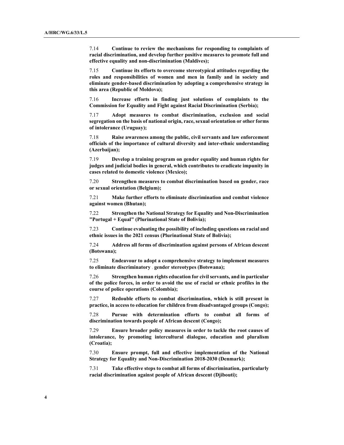7.14 Continue to review the mechanisms for responding to complaints of racial discrimination, and develop further positive measures to promote full and effective equality and non-discrimination (Maldives);

7.15 Continue its efforts to overcome stereotypical attitudes regarding the roles and responsibilities of women and men in family and in society and eliminate gender-based discrimination by adopting a comprehensive strategy in this area (Republic of Moldova);

7.16 Increase efforts in finding just solutions of complaints to the Commission for Equality and Fight against Racial Discrimination (Serbia);

7.17 Adopt measures to combat discrimination, exclusion and social segregation on the basis of national origin, race, sexual orientation or other forms of intolerance (Uruguay);

7.18 Raise awareness among the public, civil servants and law enforcement officials of the importance of cultural diversity and inter-ethnic understanding (Azerbaijan);

7.19 Develop a training program on gender equality and human rights for judges and judicial bodies in general, which contributes to eradicate impunity in cases related to domestic violence (Mexico);

7.20 Strengthen measures to combat discrimination based on gender, race or sexual orientation (Belgium);

7.21 Make further efforts to eliminate discrimination and combat violence against women (Bhutan);

7.22 Strengthen the National Strategy for Equality and Non-Discrimination "Portugal + Equal" (Plurinational State of Bolivia);

7.23 Continue evaluating the possibility of including questions on racial and ethnic issues in the 2021 census (Plurinational State of Bolivia);

7.24 Address all forms of discrimination against persons of African descent (Botswana);

7.25 Endeavour to adopt a comprehensive strategy to implement measures to eliminate discriminatory gender stereotypes (Botswana);

7.26 Strengthen human rights education for civil servants, and in particular of the police forces, in order to avoid the use of racial or ethnic profiles in the course of police operations (Colombia);

7.27 Redouble efforts to combat discrimination, which is still present in practice, in access to education for children from disadvantaged groups (Congo);

7.28 Pursue with determination efforts to combat all forms of discrimination towards people of African descent (Congo);

7.29 Ensure broader policy measures in order to tackle the root causes of intolerance, by promoting intercultural dialogue, education and pluralism (Croatia);

7.30 Ensure prompt, full and effective implementation of the National Strategy for Equality and Non-Discrimination 2018-2030 (Denmark);

7.31 Take effective steps to combat all forms of discrimination, particularly racial discrimination against people of African descent (Djibouti);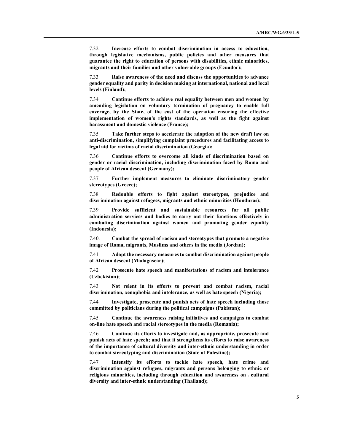7.32 Increase efforts to combat discrimination in access to education, through legislative mechanisms, public policies and other measures that guarantee the right to education of persons with disabilities, ethnic minorities, migrants and their families and other vulnerable groups (Ecuador);

7.33 Raise awareness of the need and discuss the opportunities to advance gender equality and parity in decision making at international, national and local levels (Finland);

7.34 Continue efforts to achieve real equality between men and women by amending legislation on voluntary termination of pregnancy to enable full coverage, by the State, of the cost of the operation ensuring the effective implementation of women's rights standards, as well as the fight against harassment and domestic violence (France);

7.35 Take further steps to accelerate the adoption of the new draft law on anti-discrimination, simplifying complaint procedures and facilitating access to legal aid for victims of racial discrimination (Georgia);

7.36 Continue efforts to overcome all kinds of discrimination based on gender or racial discrimination, including discrimination faced by Roma and people of African descent (Germany);

7.37 Further implement measures to eliminate discriminatory gender stereotypes (Greece);

7.38 Redouble efforts to fight against stereotypes, prejudice and discrimination against refugees, migrants and ethnic minorities (Honduras);

7.39 Provide sufficient and sustainable resources for all public administration services and bodies to carry out their functions effectively in combating discrimination against women and promoting gender equality (Indonesia);

7.40. Combat the spread of racism and stereotypes that promote a negative image of Roma, migrants, Muslims and others in the media (Jordan);

7.41 Adopt the necessary measures to combat discrimination against people of African descent (Madagascar);

7.42 Prosecute hate speech and manifestations of racism and intolerance (Uzbekistan);

7.43 Not relent in its efforts to prevent and combat racism, racial discrimination, xenophobia and intolerance, as well as hate speech (Nigeria);

7.44 Investigate, prosecute and punish acts of hate speech including those committed by politicians during the political campaigns (Pakistan);

7.45 Continue the awareness raising initiatives and campaigns to combat on-line hate speech and racial stereotypes in the media (Romania);

7.46 Continue its efforts to investigate and, as appropriate, prosecute and punish acts of hate speech; and that it strengthens its efforts to raise awareness of the importance of cultural diversity and inter-ethnic understanding in order to combat stereotyping and discrimination (State of Palestine);

7.47 Intensify its efforts to tackle hate speech, hate crime and discrimination against refugees, migrants and persons belonging to ethnic or religious minorities, including through education and awareness on cultural diversity and inter-ethnic understanding (Thailand);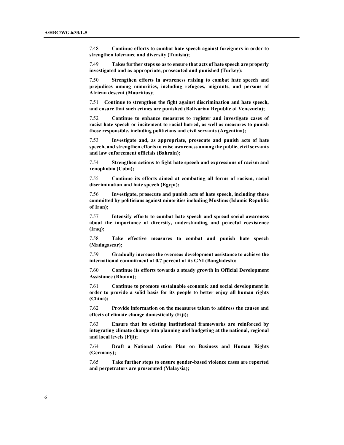7.48 Continue efforts to combat hate speech against foreigners in order to strengthen tolerance and diversity (Tunisia);

7.49 Takes further steps so as to ensure that acts of hate speech are properly investigated and as appropriate, prosecuted and punished (Turkey);

7.50 Strengthen efforts in awareness raising to combat hate speech and prejudices among minorities, including refugees, migrants, and persons of African descent (Mauritius);

7.51 Continue to strengthen the fight against discrimination and hate speech, and ensure that such crimes are punished (Bolivarian Republic of Venezuela);

7.52 Continue to enhance measures to register and investigate cases of racist hate speech or incitement to racial hatred, as well as measures to punish those responsible, including politicians and civil servants (Argentina);

7.53 Investigate and, as appropriate, prosecute and punish acts of hate speech, and strengthen efforts to raise awareness among the public, civil servants and law enforcement officials (Bahrain);

7.54 Strengthen actions to fight hate speech and expressions of racism and xenophobia (Cuba);

7.55 Continue its efforts aimed at combating all forms of racism, racial discrimination and hate speech (Egypt);

7.56 Investigate, prosecute and punish acts of hate speech, including those committed by politicians against minorities including Muslims (Islamic Republic of Iran);

7.57 Intensify efforts to combat hate speech and spread social awareness about the importance of diversity, understanding and peaceful coexistence (Iraq);

7.58 Take effective measures to combat and punish hate speech (Madagascar);

7.59 Gradually increase the overseas development assistance to achieve the international commitment of 0.7 percent of its GNI (Bangladesh);

7.60 Continue its efforts towards a steady growth in Official Development Assistance (Bhutan);

7.61 Continue to promote sustainable economic and social development in order to provide a solid basis for its people to better enjoy all human rights (China);

7.62 Provide information on the measures taken to address the causes and effects of climate change domestically (Fiji);

7.63 Ensure that its existing institutional frameworks are reinforced by integrating climate change into planning and budgeting at the national, regional and local levels (Fiji);

7.64 Draft a National Action Plan on Business and Human Rights (Germany);

7.65 Take further steps to ensure gender-based violence cases are reported and perpetrators are prosecuted (Malaysia);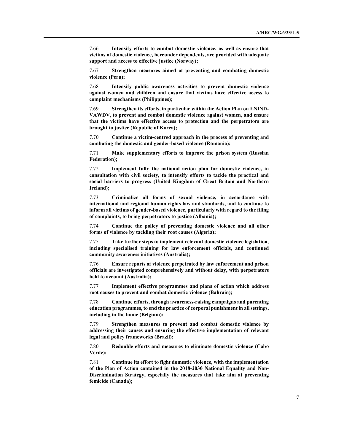7.66 Intensify efforts to combat domestic violence, as well as ensure that victims of domestic violence, hereunder dependents, are provided with adequate support and access to effective justice (Norway);

7.67 Strengthen measures aimed at preventing and combating domestic violence (Peru);

7.68 Intensify public awareness activities to prevent domestic violence against women and children and ensure that victims have effective access to complaint mechanisms (Philippines);

7.69 Strengthen its efforts, in particular within the Action Plan on ENIND-VAWDV, to prevent and combat domestic violence against women, and ensure that the victims have effective access to protection and the perpetrators are brought to justice (Republic of Korea);

7.70 Continue a victim-centred approach in the process of preventing and combating the domestic and gender-based violence (Romania);

7.71 Make supplementary efforts to improve the prison system (Russian Federation);

7.72 Implement fully the national action plan for domestic violence, in consultation with civil society, to intensify efforts to tackle the practical and social barriers to progress (United Kingdom of Great Britain and Northern Ireland);

7.73 Criminalize all forms of sexual violence, in accordance with international and regional human rights law and standards, and to continue to inform all victims of gender-based violence, particularly with regard to the filing of complaints, to bring perpetrators to justice (Albania);

7.74 Continue the policy of preventing domestic violence and all other forms of violence by tackling their root causes (Algeria);

7.75 Take further steps to implement relevant domestic violence legislation, including specialised training for law enforcement officials, and continued community awareness initiatives (Australia);

7.76 Ensure reports of violence perpetrated by law enforcement and prison officials are investigated comprehensively and without delay, with perpetrators held to account (Australia);

7.77 Implement effective programmes and plans of action which address root causes to prevent and combat domestic violence (Bahrain);

7.78 Continue efforts, through awareness-raising campaigns and parenting education programmes, to end the practice of corporal punishment in all settings, including in the home (Belgium);

7.79 Strengthen measures to prevent and combat domestic violence by addressing their causes and ensuring the effective implementation of relevant legal and policy frameworks (Brazil);

7.80 Redouble efforts and measures to eliminate domestic violence (Cabo Verde);

7.81 Continue its effort to fight domestic violence, with the implementation of the Plan of Action contained in the 2018-2030 National Equality and Non-Discrimination Strategy, especially the measures that take aim at preventing femicide (Canada);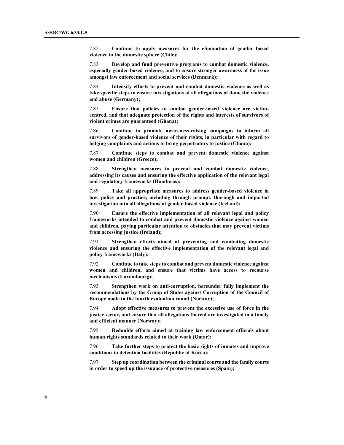7.82 Continue to apply measures for the elimination of gender based violence in the domestic sphere (Chile);

7.83 Develop and fund preventive programs to combat domestic violence, especially gender-based violence, and to ensure stronger awareness of the issue amongst law enforcement and social services (Denmark);

7.84 Intensify efforts to prevent and combat domestic violence as well as take specific steps to ensure investigations of all allegations of domestic violence and abuse (Germany);

7.85 Ensure that policies to combat gender-based violence are victimcentred, and that adequate protection of the rights and interests of survivors of violent crimes are guaranteed (Ghana);

7.86 Continue to promote awareness-raising campaigns to inform all survivors of gender-based violence of their rights, in particular with regard to lodging complaints and actions to bring perpetrators to justice (Ghana);

7.87 Continue steps to combat and prevent domestic violence against women and children (Greece);

7.88 Strengthen measures to prevent and combat domestic violence, addressing its causes and ensuring the effective application of the relevant legal and regulatory frameworks (Honduras);

7.89 Take all appropriate measures to address gender-based violence in law, policy and practice, including through prompt, thorough and impartial investigation into all allegations of gender-based violence (Iceland);

7.90 Ensure the effective implementation of all relevant legal and policy frameworks intended to combat and prevent domestic violence against women and children, paying particular attention to obstacles that may prevent victims from accessing justice (Ireland);

7.91 Strengthen efforts aimed at preventing and combating domestic violence and ensuring the effective implementation of the relevant legal and policy frameworks (Italy);

7.92 Continue to take steps to combat and prevent domestic violence against women and children, and ensure that victims have access to recourse mechanisms (Luxembourg);

7.93 Strengthen work on anti-corruption, hereunder fully implement the recommendations by the Group of States against Corruption of the Council of Europe made in the fourth evaluation round (Norway);

7.94 Adopt effective measures to prevent the excessive use of force in the justice sector, and ensure that all allegations thereof are investigated in a timely and efficient manner (Norway);

7.95 Redouble efforts aimed at training law enforcement officials about human rights standards related to their work (Qatar);

7.96 Take further steps to protect the basic rights of inmates and improve conditions in detention facilities (Republic of Korea);

7.97 Step up coordination between the criminal courts and the family courts in order to speed up the issuance of protective measures (Spain);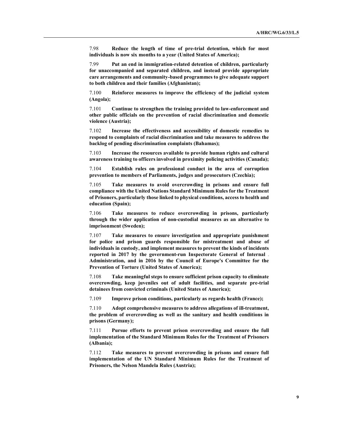7.98 Reduce the length of time of pre-trial detention, which for most individuals is now six months to a year (United States of America);

7.99 Put an end in immigration-related detention of children, particularly for unaccompanied and separated children, and instead provide appropriate care arrangements and community-based programmes to give adequate support to both children and their families (Afghanistan);

7.100 Reinforce measures to improve the efficiency of the judicial system (Angola);

7.101 Continue to strengthen the training provided to law-enforcement and other public officials on the prevention of racial discrimination and domestic violence (Austria);

7.102 Increase the effectiveness and accessibility of domestic remedies to respond to complaints of racial discrimination and take measures to address the backlog of pending discrimination complaints (Bahamas);

7.103 Increase the resources available to provide human rights and cultural awareness training to officers involved in proximity policing activities (Canada);

7.104 Establish rules on professional conduct in the area of corruption prevention to members of Parliaments, judges and prosecutors (Czechia);

7.105 Take measures to avoid overcrowding in prisons and ensure full compliance with the United Nations Standard Minimum Rules for the Treatment of Prisoners, particularly those linked to physical conditions, access to health and education (Spain);

7.106 Take measures to reduce overcrowding in prisons, particularly through the wider application of non-custodial measures as an alternative to imprisonment (Sweden);

7.107 Take measures to ensure investigation and appropriate punishment for police and prison guards responsible for mistreatment and abuse of individuals in custody, and implement measures to prevent the kinds of incidents reported in 2017 by the government-run Inspectorate General of Internal Administration, and in 2016 by the Council of Europe's Committee for the Prevention of Torture (United States of America);

7.108 Take meaningful steps to ensure sufficient prison capacity to eliminate overcrowding, keep juveniles out of adult facilities, and separate pre-trial detainees from convicted criminals (United States of America);

7.109 Improve prison conditions, particularly as regards health (France);

7.110 Adopt comprehensive measures to address allegations of ill-treatment, the problem of overcrowding as well as the sanitary and health conditions in prisons (Germany);

7.111 Pursue efforts to prevent prison overcrowding and ensure the full implementation of the Standard Minimum Rules for the Treatment of Prisoners (Albania);

7.112 Take measures to prevent overcrowding in prisons and ensure full implementation of the UN Standard Minimum Rules for the Treatment of Prisoners, the Nelson Mandela Rules (Austria);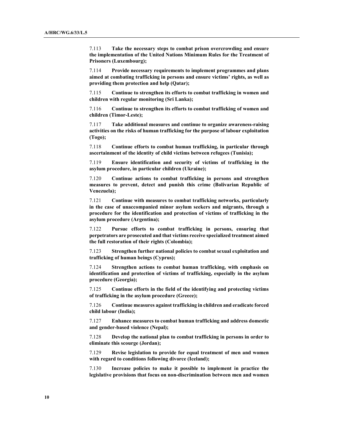7.113 Take the necessary steps to combat prison overcrowding and ensure the implementation of the United Nations Minimum Rules for the Treatment of Prisoners (Luxembourg);

7.114 Provide necessary requirements to implement programmes and plans aimed at combating trafficking in persons and ensure victims' rights, as well as providing them protection and help (Qatar);

7.115 Continue to strengthen its efforts to combat trafficking in women and children with regular monitoring (Sri Lanka);

7.116 Continue to strengthen its efforts to combat trafficking of women and children (Timor-Leste);

7.117 Take additional measures and continue to organize awareness-raising activities on the risks of human trafficking for the purpose of labour exploitation (Togo);

7.118 Continue efforts to combat human trafficking, in particular through ascertainment of the identity of child victims between refugees (Tunisia);

7.119 Ensure identification and security of victims of trafficking in the asylum procedure, in particular children (Ukraine);

7.120 Continue actions to combat trafficking in persons and strengthen measures to prevent, detect and punish this crime (Bolivarian Republic of Venezuela);

7.121 Continue with measures to combat trafficking networks, particularly in the case of unaccompanied minor asylum seekers and migrants, through a procedure for the identification and protection of victims of trafficking in the asylum procedure (Argentina);

7.122 Pursue efforts to combat trafficking in persons, ensuring that perpetrators are prosecuted and that victims receive specialized treatment aimed the full restoration of their rights (Colombia);

7.123 Strengthen further national policies to combat sexual exploitation and trafficking of human beings (Cyprus);

7.124 Strengthen actions to combat human trafficking, with emphasis on identification and protection of victims of trafficking, especially in the asylum procedure (Georgia);

7.125 Continue efforts in the field of the identifying and protecting victims of trafficking in the asylum procedure (Greece);

7.126 Continue measures against trafficking in children and eradicate forced child labour (India);

7.127 Enhance measures to combat human trafficking and address domestic and gender-based violence (Nepal);

7.128 Develop the national plan to combat trafficking in persons in order to eliminate this scourge (Jordan);

7.129 Revise legislation to provide for equal treatment of men and women with regard to conditions following divorce (Iceland);

7.130 Increase policies to make it possible to implement in practice the legislative provisions that focus on non-discrimination between men and women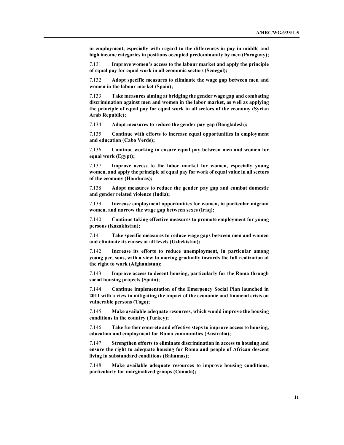in employment, especially with regard to the differences in pay in middle and high income categories in positions occupied predominantly by men (Paraguay);

7.131 Improve women's access to the labour market and apply the principle of equal pay for equal work in all economic sectors (Senegal);

7.132 Adopt specific measures to eliminate the wage gap between men and women in the labour market (Spain);

7.133 Take measures aiming at bridging the gender wage gap and combating discrimination against men and women in the labor market, as well as applying the principle of equal pay for equal work in all sectors of the economy (Syrian Arab Republic);

7.134 Adopt measures to reduce the gender pay gap (Bangladesh);

7.135 Continue with efforts to increase equal opportunities in employment and education (Cabo Verde);

7.136 Continue working to ensure equal pay between men and women for equal work (Egypt);

7.137 Improve access to the labor market for women, especially young women, and apply the principle of equal pay for work of equal value in all sectors of the economy (Honduras);

7.138 Adopt measures to reduce the gender pay gap and combat domestic and gender related violence (India);

7.139 Increase employment opportunities for women, in particular migrant women, and narrow the wage gap between sexes (Iraq);

7.140 Continue taking effective measures to promote employment for young persons (Kazakhstan);

7.141 Take specific measures to reduce wage gaps between men and women and eliminate its causes at all levels (Uzbekistan);

7.142 Increase its efforts to reduce unemployment, in particular among young per sons, with a view to moving gradually towards the full realization of the right to work (Afghanistan);

7.143 Improve access to decent housing, particularly for the Roma through social housing projects (Spain);

7.144 Continue implementation of the Emergency Social Plan launched in 2011 with a view to mitigating the impact of the economic and financial crisis on vulnerable persons (Togo);

7.145 Make available adequate resources, which would improve the housing conditions in the country (Turkey);

7.146 Take further concrete and effective steps to improve access to housing, education and employment for Roma communities (Australia);

7.147 Strengthen efforts to eliminate discrimination in access to housing and ensure the right to adequate housing for Roma and people of African descent living in substandard conditions (Bahamas);

7.148 Make available adequate resources to improve housing conditions, particularly for marginalized groups (Canada);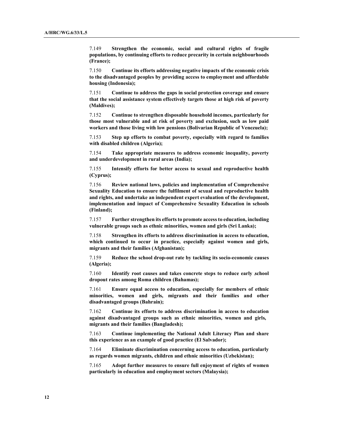7.149 Strengthen the economic, social and cultural rights of fragile populations, by continuing efforts to reduce precarity in certain neighbourhoods (France);

7.150 Continue its efforts addressing negative impacts of the economic crisis to the disadvantaged peoples by providing access to employment and affordable housing (Indonesia);

7.151 Continue to address the gaps in social protection coverage and ensure that the social assistance system effectively targets those at high risk of poverty (Maldives);

7.152 Continue to strengthen disposable household incomes, particularly for those most vulnerable and at risk of poverty and exclusion, such as low paid workers and those living with low pensions (Bolivarian Republic of Venezuela);

7.153 Step up efforts to combat poverty, especially with regard to families with disabled children (Algeria);

7.154 Take appropriate measures to address economic inequality, poverty and underdevelopment in rural areas (India);

7.155 Intensify efforts for better access to sexual and reproductive health (Cyprus);

7.156 Review national laws, policies and implementation of Comprehensive Sexuality Education to ensure the fulfilment of sexual and reproductive health and rights, and undertake an independent expert evaluation of the development, implementation and impact of Comprehensive Sexuality Education in schools (Finland);

7.157 Further strengthen its efforts to promote access to education, including vulnerable groups such as ethnic minorities, women and girls (Sri Lanka);

7.158 Strengthen its efforts to address discrimination in access to education, which continued to occur in practice, especially against women and girls, migrants and their families (Afghanistan);

7.159 Reduce the school drop-out rate by tackling its socio-economic causes (Algeria);

7.160 Identify root causes and takes concrete steps to reduce early school dropout rates among Roma children (Bahamas);

7.161 Ensure equal access to education, especially for members of ethnic minorities, women and girls, migrants and their families and other disadvantaged groups (Bahrain);

7.162 Continue its efforts to address discrimination in access to education against disadvantaged groups such as ethnic minorities, women and girls, migrants and their families (Bangladesh);

7.163 Continue implementing the National Adult Literacy Plan and share this experience as an example of good practice (El Salvador);

7.164 Eliminate discrimination concerning access to education, particularly as regards women migrants, children and ethnic minorities (Uzbekistan);

7.165 Adopt further measures to ensure full enjoyment of rights of women particularly in education and employment sectors (Malaysia);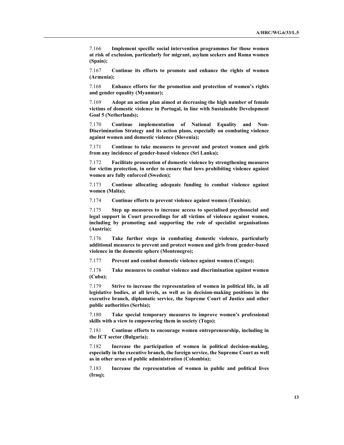7.166 Implement specific social intervention programmes for those women at risk of exclusion, particularly for migrant, asylum seekers and Roma women (Spain);

7.167 Continue its efforts to promote and enhance the rights of women (Armenia);

7.168 Enhance efforts for the promotion and protection of women's rights and gender equality (Myanmar);

7.169 Adopt an action plan aimed at decreasing the high number of female victims of domestic violence in Portugal, in line with Sustainable Development Goal 5 (Netherlands);

7.170 Continue implementation of National Equality and Non-Discrimination Strategy and its action plans, especially on combating violence against women and domestic violence (Slovenia);

7.171 Continue to take measures to prevent and protect women and girls from any incidence of gender-based violence (Sri Lanka);

7.172 Facilitate prosecution of domestic violence by strengthening measures for victim protection, in order to ensure that laws prohibiting violence against women are fully enforced (Sweden);

7.173 Continue allocating adequate funding to combat violence against women (Malta);

7.174 Continue efforts to prevent violence against women (Tunisia);

7.175 Step up measures to increase access to specialised psychosocial and legal support in Court proceedings for all victims of violence against women, including by promoting and supporting the role of specialist organisations (Austria);

7.176 Take further steps in combating domestic violence, particularly additional measures to prevent and protect women and girls from gender-based violence in the domestic sphere (Montenegro);

7.177 Prevent and combat domestic violence against women (Congo);

7.178 Take measures to combat violence and discrimination against women (Cuba);

7.179 Strive to increase the representation of women in political life, in all legislative bodies, at all levels, as well as in decision-making positions in the executive branch, diplomatic service, the Supreme Court of Justice and other public authorities (Serbia);

7.180 Take special temporary measures to improve women's professional skills with a view to empowering them in society (Togo);

7.181 Continue efforts to encourage women entrepreneurship, including in the ICT sector (Bulgaria);

7.182 Increase the participation of women in political decision-making, especially in the executive branch, the foreign service, the Supreme Court as well as in other areas of public administration (Colombia);

7.183 Increase the representation of women in public and political lives (Iraq);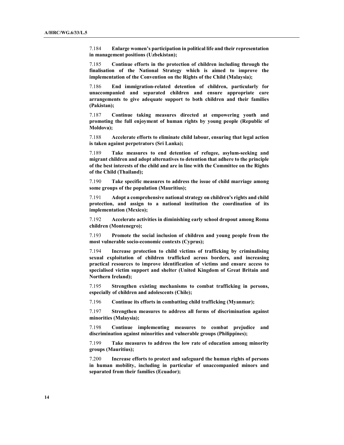7.184 Enlarge women's participation in political life and their representation in management positions (Uzbekistan);

7.185 Continue efforts in the protection of children including through the finalisation of the National Strategy which is aimed to improve the implementation of the Convention on the Rights of the Child (Malaysia);

7.186 End immigration-related detention of children, particularly for unaccompanied and separated children and ensure appropriate care arrangements to give adequate support to both children and their families (Pakistan);

7.187 Continue taking measures directed at empowering youth and promoting the full enjoyment of human rights by young people (Republic of Moldova);

7.188 Accelerate efforts to eliminate child labour, ensuring that legal action is taken against perpetrators (Sri Lanka);

7.189 Take measures to end detention of refugee, asylum-seeking and migrant children and adopt alternatives to detention that adhere to the principle of the best interests of the child and are in line with the Committee on the Rights of the Child (Thailand);

7.190 Take specific measures to address the issue of child marriage among some groups of the population (Mauritius);

7.191 Adopt a comprehensive national strategy on children's rights and child protection, and assign to a national institution the coordination of its implementation (Mexico);

7.192 Accelerate activities in diminishing early school dropout among Roma children (Montenegro);

7.193 Promote the social inclusion of children and young people from the most vulnerable socio-economic contexts (Cyprus);

7.194 Increase protection to child victims of trafficking by criminalising sexual exploitation of children trafficked across borders, and increasing practical resources to improve identification of victims and ensure access to specialised victim support and shelter (United Kingdom of Great Britain and Northern Ireland);

7.195 Strengthen existing mechanisms to combat trafficking in persons, especially of children and adolescents (Chile);

7.196 Continue its efforts in combatting child trafficking (Myanmar);

7.197 Strengthen measures to address all forms of discrimination against minorities (Malaysia);

7.198 Continue implementing measures to combat prejudice and discrimination against minorities and vulnerable groups (Philippines);

7.199 Take measures to address the low rate of education among minority groups (Mauritius);

7.200 Increase efforts to protect and safeguard the human rights of persons in human mobility, including in particular of unaccompanied minors and separated from their families (Ecuador);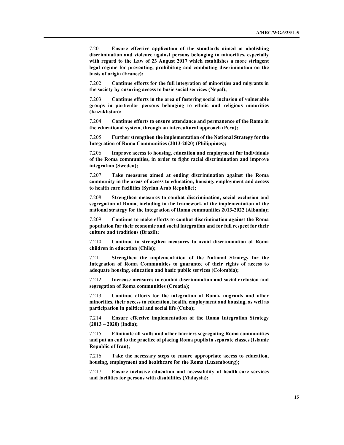7.201 Ensure effective application of the standards aimed at abolishing discrimination and violence against persons belonging to minorities, especially with regard to the Law of 23 August 2017 which establishes a more stringent legal regime for preventing, prohibiting and combating discrimination on the basis of origin (France);

7.202 Continue efforts for the full integration of minorities and migrants in the society by ensuring access to basic social services (Nepal);

7.203 Continue efforts in the area of fostering social inclusion of vulnerable groups in particular persons belonging to ethnic and religious minorities (Kazakhstan);

7.204 Continue efforts to ensure attendance and permanence of the Roma in the educational system, through an intercultural approach (Peru);

7.205 Further strengthen the implementation of the National Strategy for the Integration of Roma Communities (2013-2020) (Philippines);

7.206 Improve access to housing, education and employment for individuals of the Roma communities, in order to fight racial discrimination and improve integration (Sweden);

7.207 Take measures aimed at ending discrimination against the Roma community in the areas of access to education, housing, employment and access to health care facilities (Syrian Arab Republic);

7.208 Strengthen measures to combat discrimination, social exclusion and segregation of Roma, including in the framework of the implementation of the national strategy for the integration of Roma communities 2013-2022 (Albania);

7.209 Continue to make efforts to combat discrimination against the Roma population for their economic and social integration and for full respect for their culture and traditions (Brazil);

7.210 Continue to strengthen measures to avoid discrimination of Roma children in education (Chile);

7.211 Strengthen the implementation of the National Strategy for the Integration of Roma Communities to guarantee of their rights of access to adequate housing, education and basic public services (Colombia);

7.212 Increase measures to combat discrimination and social exclusion and segregation of Roma communities (Croatia);

7.213 Continue efforts for the integration of Roma, migrants and other minorities, their access to education, health, employment and housing, as well as participation in political and social life (Cuba);

7.214 Ensure effective implementation of the Roma Integration Strategy  $(2013 - 2020)$  (India);

7.215 Eliminate all walls and other barriers segregating Roma communities and put an end to the practice of placing Roma pupils in separate classes (Islamic Republic of Iran);

7.216 Take the necessary steps to ensure appropriate access to education, housing, employment and healthcare for the Roma (Luxembourg);

7.217 Ensure inclusive education and accessibility of health-care services and facilities for persons with disabilities (Malaysia);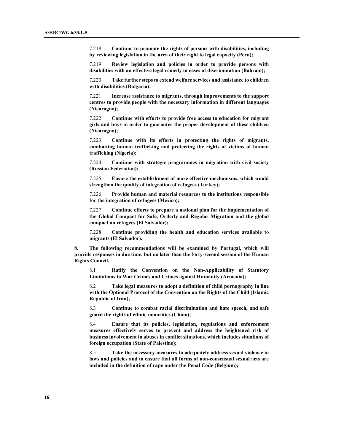7.218 Continue to promote the rights of persons with disabilities, including by reviewing legislation in the area of their right to legal capacity (Peru);

7.219 Review legislation and policies in order to provide persons with disabilities with an effective legal remedy in cases of discrimination (Bahrain);

7.220 Take further steps to extend welfare services and assistance to children with disabilities (Bulgaria);

7.221 Increase assistance to migrants, through improvements to the support centres to provide people with the necessary information in different languages (Nicaragua);

7.222 Continue with efforts to provide free access to education for migrant girls and boys in order to guarantee the proper development of these children (Nicaragua);

7.223 Continue with its efforts in protecting the rights of migrants, combatting human trafficking and protecting the rights of victims of human trafficking (Nigeria);

7.224 Continue with strategic programmes in migration with civil society (Russian Federation);

7.225 Ensure the establishment of more effective mechanisms, which would strengthen the quality of integration of refugees (Turkey);

7.226 Provide human and material resources to the institutions responsible for the integration of refugees (Mexico);

7.227 Continue efforts to prepare a national plan for the implementation of the Global Compact for Safe, Orderly and Regular Migration and the global compact on refugees (El Salvador);

7.228 Continue providing the health and education services available to migrants (El Salvador).

8. The following recommendations will be examined by Portugal, which will provide responses in due time, but no later than the forty-second session of the Human Rights Council.

8.1 Ratify the Convention on the Non-Applicability of Statutory Limitations to War Crimes and Crimes against Humanity (Armenia);

8.2 Take legal measures to adopt a definition of child pornography in line with the Optional Protocol of the Convention on the Rights of the Child (Islamic Republic of Iran);

8.3 Continue to combat racial discrimination and hate speech, and safe guard the rights of ethnic minorities (China);

8.4 Ensure that its policies, legislation, regulations and enforcement measures effectively serves to prevent and address the heightened risk of business involvement in abuses in conflict situations, which includes situations of foreign occupation (State of Palestine);

8.5 Take the necessary measures to adequately address sexual violence in laws and policies and to ensure that all forms of non-consensual sexual acts are included in the definition of rape under the Penal Code (Belgium);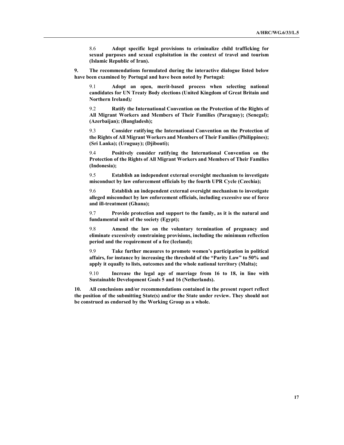8.6 Adopt specific legal provisions to criminalize child trafficking for sexual purposes and sexual exploitation in the context of travel and tourism (Islamic Republic of Iran).

9. The recommendations formulated during the interactive dialogue listed below have been examined by Portugal and have been noted by Portugal:

9.1 Adopt an open, merit-based process when selecting national candidates for UN Treaty Body elections (United Kingdom of Great Britain and Northern Ireland);

9.2 Ratify the International Convention on the Protection of the Rights of All Migrant Workers and Members of Their Families (Paraguay); (Senegal); (Azerbaijan); (Bangladesh);

9.3 Consider ratifying the International Convention on the Protection of the Rights of All Migrant Workers and Members of Their Families (Philippines); (Sri Lanka); (Uruguay); (Djibouti);

9.4 Positively consider ratifying the International Convention on the Protection of the Rights of All Migrant Workers and Members of Their Families (Indonesia);

9.5 Establish an independent external oversight mechanism to investigate misconduct by law enforcement officials by the fourth UPR Cycle (Czechia);

9.6 Establish an independent external oversight mechanism to investigate alleged misconduct by law enforcement officials, including excessive use of force and ill-treatment (Ghana);

9.7 Provide protection and support to the family, as it is the natural and fundamental unit of the society (Egypt);

9.8 Amend the law on the voluntary termination of pregnancy and eliminate excessively constraining provisions, including the minimum reflection period and the requirement of a fee (Iceland);

9.9 Take further measures to promote women's participation in political affairs, for instance by increasing the threshold of the "Parity Law" to 50% and apply it equally to lists, outcomes and the whole national territory (Malta);

9.10 Increase the legal age of marriage from 16 to 18, in line with Sustainable Development Goals 5 and 16 (Netherlands).

10. All conclusions and/or recommendations contained in the present report reflect the position of the submitting State(s) and/or the State under review. They should not be construed as endorsed by the Working Group as a whole.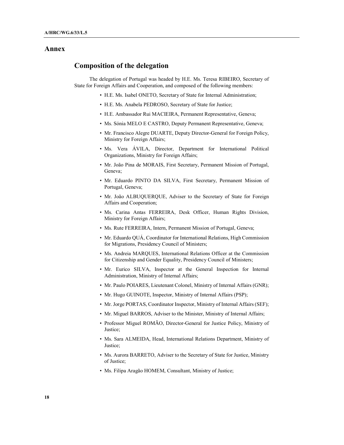## Annex

# Composition of the delegation

The delegation of Portugal was headed by H.E. Ms. Teresa RIBEIRO, Secretary of State for Foreign Affairs and Cooperation, and composed of the following members:

- H.E. Ms. Isabel ONETO, Secretary of State for Internal Administration;
- H.E. Ms. Anabela PEDROSO, Secretary of State for Justice;
- H.E. Ambassador Rui MACIEIRA, Permanent Representative, Geneva;
- Ms. Sónia MELO E CASTRO, Deputy Permanent Representative, Geneva;
- Mr. Francisco Alegre DUARTE, Deputy Director-General for Foreign Policy, Ministry for Foreign Affairs;
- Ms. Vera ÁVILA, Director, Department for International Political Organizations, Ministry for Foreign Affairs;
- Mr. João Pina de MORAIS, First Secretary, Permanent Mission of Portugal, Geneva;
- Mr. Eduardo PINTO DA SILVA, First Secretary, Permanent Mission of Portugal, Geneva;
- Mr. João ALBUQUERQUE, Adviser to the Secretary of State for Foreign Affairs and Cooperation;
- Ms. Carina Antas FERREIRA, Desk Officer, Human Rights Division, Ministry for Foreign Affairs;
- Ms. Rute FERREIRA, Intern, Permanent Mission of Portugal, Geneva;
- Mr. Eduardo QUÁ, Coordinator for International Relations, High Commission for Migrations, Presidency Council of Ministers;
- Ms. Andreia MARQUES, International Relations Officer at the Commission for Citizenship and Gender Equality, Presidency Council of Ministers;
- Mr. Eurico SILVA, Inspector at the General Inspection for Internal Administration, Ministry of Internal Affairs;
- Mr. Paulo POIARES, Lieutenant Colonel, Ministry of Internal Affairs (GNR);
- Mr. Hugo GUINOTE, Inspector, Ministry of Internal Affairs (PSP);
- Mr. Jorge PORTAS, Coordinator Inspector, Ministry of Internal Affairs (SEF);
- Mr. Miguel BARROS, Adviser to the Minister, Ministry of Internal Affairs;
- Professor Miguel ROMÃO, Director-General for Justice Policy, Ministry of Justice;
- Ms. Sara ALMEIDA, Head, International Relations Department, Ministry of Justice;
- Ms. Aurora BARRETO, Adviser to the Secretary of State for Justice, Ministry of Justice;
- Ms. Filipa Aragão HOMEM, Consultant, Ministry of Justice;